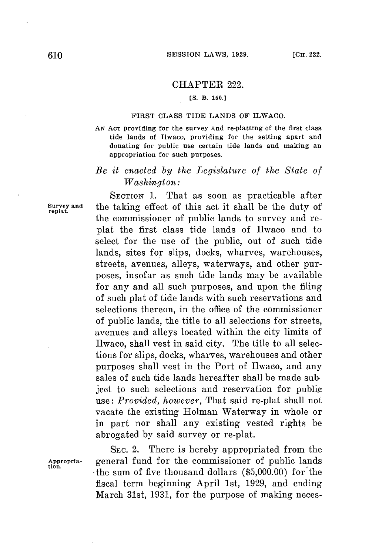### CHAPTER 222.

## **[S. B. 150.]**

#### **FIRST CLASS TIDE LANDS OF ILWACO.**

**AN ACT** providing for the survey and re-platting of the first class tide lands **of Ilwaco, providing for the setting apart and** donating for public use certain tide lands and making an appropriation for such purposes.

# *Be it enacted by the Legislature of the State of Washington:*

**SECTION 1.** That as soon as practicable after **Survey and** the taking effect of this act it shall be the duty of **replat.** the commissioner of public lands to survey and replat the first class tide lands of Ilwaco and to select **for** the use of the public, out of such tide lands, sites for slips, docks, wharves, warehouses, streets, avenues, alleys, waterways, and other purposes, insofar as such tide lands may be available for any and all such purposes, and upon the filing of such plat of tide lands with such reservations and selections thereon, in the office of the commissioner of public lands, the title to all selections for streets, avenues and alleys located within the city limits of Ilwaco, shall vest in said city. The title to all selections **for** slips, docks, wharves, warehouses and other purposes shall vest in the Port of Ilwaco, and any sales of such tide lands hereafter shall be made sub. ject to such selections and reservation for public use: *Provided, however,* That said re-plat shall not vacate the existing Holman Waterway in whole or in part nor shall any existing vested rights be abrogated **by** said survey or re-plat.

**tion.**

**SEC.** 2. There is hereby appropriated from the **Appropria-** general fund for the commissioner of public lands -the sum of five thousand dollars **(\$5,000.00)** for the fiscal term beginning April 1st, **1929,** and ending March 31st, **1931,** for the purpose of making neces-